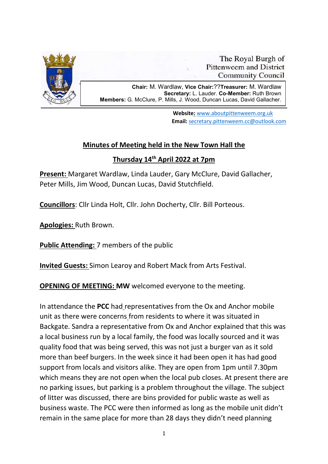

The Royal Burgh of **Pittenweem and District Community Council** 

.

l,

Chair: M. Wardlaw, Vice Chair:??Treasurer: M. Wardlaw Secretary: L. Lauder. Co-Member: Ruth Brown Members: G. McClure, P. Mills, J. Wood, Duncan Lucas, David Gallacher.

> Website: www.aboutpittenweem.org.uk Email: secretary.pittenweem.cc@outlook.com

## Minutes of Meeting held in the New Town Hall the

## Thursday 14th April 2022 at 7pm

Present: Margaret Wardlaw, Linda Lauder, Gary McClure, David Gallacher, Peter Mills, Jim Wood, Duncan Lucas, David Stutchfield.

Councillors: Cllr Linda Holt, Cllr. John Docherty, Cllr. Bill Porteous.

Apologies: Ruth Brown.

Public Attending: 7 members of the public

Invited Guests: Simon Learoy and Robert Mack from Arts Festival.

OPENING OF MEETING: MW welcomed everyone to the meeting.

In attendance the PCC had representatives from the Ox and Anchor mobile unit as there were concerns from residents to where it was situated in Backgate. Sandra a representative from Ox and Anchor explained that this was a local business run by a local family, the food was locally sourced and it was quality food that was being served, this was not just a burger van as it sold more than beef burgers. In the week since it had been open it has had good support from locals and visitors alike. They are open from 1pm until 7.30pm which means they are not open when the local pub closes. At present there are no parking issues, but parking is a problem throughout the village. The subject of litter was discussed, there are bins provided for public waste as well as business waste. The PCC were then informed as long as the mobile unit didn't remain in the same place for more than 28 days they didn't need planning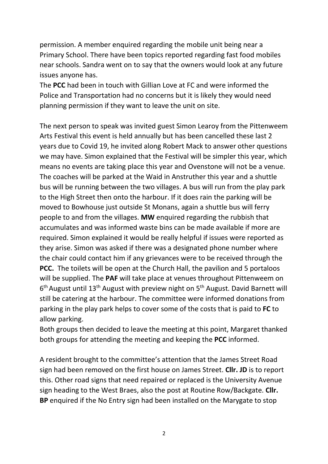permission. A member enquired regarding the mobile unit being near a Primary School. There have been topics reported regarding fast food mobiles near schools. Sandra went on to say that the owners would look at any future issues anyone has.

The PCC had been in touch with Gillian Love at FC and were informed the Police and Transportation had no concerns but it is likely they would need planning permission if they want to leave the unit on site.

The next person to speak was invited guest Simon Learoy from the Pittenweem Arts Festival this event is held annually but has been cancelled these last 2 years due to Covid 19, he invited along Robert Mack to answer other questions we may have. Simon explained that the Festival will be simpler this year, which means no events are taking place this year and Ovenstone will not be a venue. The coaches will be parked at the Waid in Anstruther this year and a shuttle bus will be running between the two villages. A bus will run from the play park to the High Street then onto the harbour. If it does rain the parking will be moved to Bowhouse just outside St Monans, again a shuttle bus will ferry people to and from the villages. MW enquired regarding the rubbish that accumulates and was informed waste bins can be made available if more are required. Simon explained it would be really helpful if issues were reported as they arise. Simon was asked if there was a designated phone number where the chair could contact him if any grievances were to be received through the PCC. The toilets will be open at the Church Hall, the pavilion and 5 portaloos will be supplied. The **PAF** will take place at venues throughout Pittenweem on 6<sup>th</sup> August until 13<sup>th</sup> August with preview night on 5<sup>th</sup> August. David Barnett will still be catering at the harbour. The committee were informed donations from parking in the play park helps to cover some of the costs that is paid to FC to allow parking.

Both groups then decided to leave the meeting at this point, Margaret thanked both groups for attending the meeting and keeping the PCC informed.

A resident brought to the committee's attention that the James Street Road sign had been removed on the first house on James Street. Cllr. JD is to report this. Other road signs that need repaired or replaced is the University Avenue sign heading to the West Braes, also the post at Routine Row/Backgate. Cllr. BP enquired if the No Entry sign had been installed on the Marygate to stop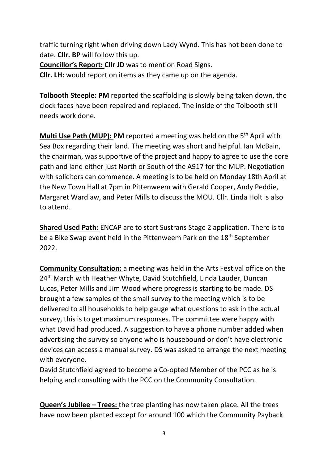traffic turning right when driving down Lady Wynd. This has not been done to date. Cllr. BP will follow this up.

Councillor's Report: Cllr JD was to mention Road Signs.

Cllr. LH: would report on items as they came up on the agenda.

Tolbooth Steeple: PM reported the scaffolding is slowly being taken down, the clock faces have been repaired and replaced. The inside of the Tolbooth still needs work done.

**Multi Use Path (MUP): PM** reported a meeting was held on the  $5<sup>th</sup>$  April with Sea Box regarding their land. The meeting was short and helpful. Ian McBain, the chairman, was supportive of the project and happy to agree to use the core path and land either just North or South of the A917 for the MUP. Negotiation with solicitors can commence. A meeting is to be held on Monday 18th April at the New Town Hall at 7pm in Pittenweem with Gerald Cooper, Andy Peddie, Margaret Wardlaw, and Peter Mills to discuss the MOU. Cllr. Linda Holt is also to attend.

Shared Used Path: ENCAP are to start Sustrans Stage 2 application. There is to be a Bike Swap event held in the Pittenweem Park on the 18<sup>th</sup> September 2022.

Community Consultation: a meeting was held in the Arts Festival office on the 24<sup>th</sup> March with Heather Whyte, David Stutchfield, Linda Lauder, Duncan Lucas, Peter Mills and Jim Wood where progress is starting to be made. DS brought a few samples of the small survey to the meeting which is to be delivered to all households to help gauge what questions to ask in the actual survey, this is to get maximum responses. The committee were happy with what David had produced. A suggestion to have a phone number added when advertising the survey so anyone who is housebound or don't have electronic devices can access a manual survey. DS was asked to arrange the next meeting with everyone.

David Stutchfield agreed to become a Co-opted Member of the PCC as he is helping and consulting with the PCC on the Community Consultation.

Queen's Jubilee – Trees: the tree planting has now taken place. All the trees have now been planted except for around 100 which the Community Payback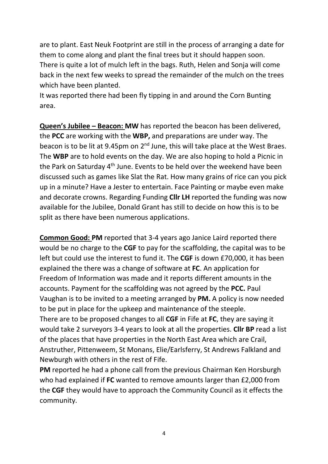are to plant. East Neuk Footprint are still in the process of arranging a date for them to come along and plant the final trees but it should happen soon. There is quite a lot of mulch left in the bags. Ruth, Helen and Sonja will come back in the next few weeks to spread the remainder of the mulch on the trees which have been planted.

It was reported there had been fly tipping in and around the Corn Bunting area.

Queen's Jubilee - Beacon: MW has reported the beacon has been delivered, the PCC are working with the WBP, and preparations are under way. The beacon is to be lit at 9.45pm on  $2^{nd}$  June, this will take place at the West Braes. The WBP are to hold events on the day. We are also hoping to hold a Picnic in the Park on Saturday 4<sup>th</sup> June. Events to be held over the weekend have been discussed such as games like Slat the Rat. How many grains of rice can you pick up in a minute? Have a Jester to entertain. Face Painting or maybe even make and decorate crowns. Regarding Funding Cllr LH reported the funding was now available for the Jubilee, Donald Grant has still to decide on how this is to be split as there have been numerous applications.

Common Good: PM reported that 3-4 years ago Janice Laird reported there would be no charge to the CGF to pay for the scaffolding, the capital was to be left but could use the interest to fund it. The CGF is down £70,000, it has been explained the there was a change of software at FC. An application for Freedom of Information was made and it reports different amounts in the accounts. Payment for the scaffolding was not agreed by the PCC. Paul Vaughan is to be invited to a meeting arranged by PM. A policy is now needed to be put in place for the upkeep and maintenance of the steeple. There are to be proposed changes to all CGF in Fife at FC, they are saying it would take 2 surveyors 3-4 years to look at all the properties. Cllr BP read a list of the places that have properties in the North East Area which are Crail, Anstruther, Pittenweem, St Monans, Elie/Earlsferry, St Andrews Falkland and Newburgh with others in the rest of Fife.

PM reported he had a phone call from the previous Chairman Ken Horsburgh who had explained if FC wanted to remove amounts larger than £2,000 from the CGF they would have to approach the Community Council as it effects the community.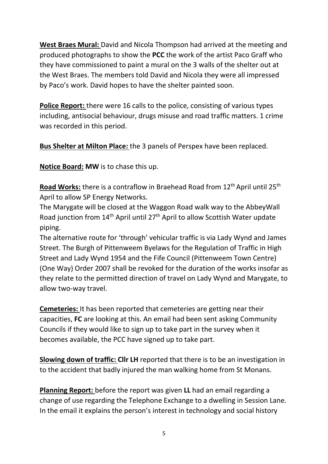West Braes Mural: David and Nicola Thompson had arrived at the meeting and produced photographs to show the PCC the work of the artist Paco Graff who they have commissioned to paint a mural on the 3 walls of the shelter out at the West Braes. The members told David and Nicola they were all impressed by Paco's work. David hopes to have the shelter painted soon.

Police Report: there were 16 calls to the police, consisting of various types including, antisocial behaviour, drugs misuse and road traffic matters. 1 crime was recorded in this period.

Bus Shelter at Milton Place: the 3 panels of Perspex have been replaced.

Notice Board: MW is to chase this up.

Road Works: there is a contraflow in Braehead Road from 12<sup>th</sup> April until 25<sup>th</sup> April to allow SP Energy Networks.

The Marygate will be closed at the Waggon Road walk way to the AbbeyWall Road junction from 14<sup>th</sup> April until 27<sup>th</sup> April to allow Scottish Water update piping.

The alternative route for 'through' vehicular traffic is via Lady Wynd and James Street. The Burgh of Pittenweem Byelaws for the Regulation of Traffic in High Street and Lady Wynd 1954 and the Fife Council (Pittenweem Town Centre) (One Way) Order 2007 shall be revoked for the duration of the works insofar as they relate to the permitted direction of travel on Lady Wynd and Marygate, to allow two-way travel.

Cemeteries: It has been reported that cemeteries are getting near their capacities, FC are looking at this. An email had been sent asking Community Councils if they would like to sign up to take part in the survey when it becomes available, the PCC have signed up to take part.

Slowing down of traffic: Cllr LH reported that there is to be an investigation in to the accident that badly injured the man walking home from St Monans.

Planning Report: before the report was given LL had an email regarding a change of use regarding the Telephone Exchange to a dwelling in Session Lane. In the email it explains the person's interest in technology and social history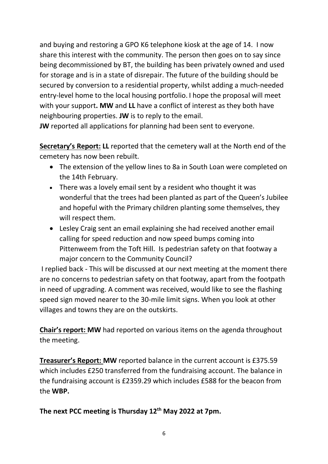and buying and restoring a GPO K6 telephone kiosk at the age of 14. I now share this interest with the community. The person then goes on to say since being decommissioned by BT, the building has been privately owned and used for storage and is in a state of disrepair. The future of the building should be secured by conversion to a residential property, whilst adding a much-needed entry-level home to the local housing portfolio. I hope the proposal will meet with your support. MW and LL have a conflict of interest as they both have neighbouring properties. JW is to reply to the email.

JW reported all applications for planning had been sent to everyone.

Secretary's Report: LL reported that the cemetery wall at the North end of the cemetery has now been rebuilt.

- The extension of the yellow lines to 8a in South Loan were completed on the 14th February.
- There was a lovely email sent by a resident who thought it was wonderful that the trees had been planted as part of the Queen's Jubilee and hopeful with the Primary children planting some themselves, they will respect them.
- Lesley Craig sent an email explaining she had received another email calling for speed reduction and now speed bumps coming into Pittenweem from the Toft Hill. Is pedestrian safety on that footway a major concern to the Community Council?

 I replied back - This will be discussed at our next meeting at the moment there are no concerns to pedestrian safety on that footway, apart from the footpath in need of upgrading. A comment was received, would like to see the flashing speed sign moved nearer to the 30-mile limit signs. When you look at other villages and towns they are on the outskirts.

Chair's report: MW had reported on various items on the agenda throughout the meeting.

Treasurer's Report: MW reported balance in the current account is £375.59 which includes £250 transferred from the fundraising account. The balance in the fundraising account is £2359.29 which includes £588 for the beacon from the WBP.

The next PCC meeting is Thursday 12<sup>th</sup> May 2022 at 7pm.